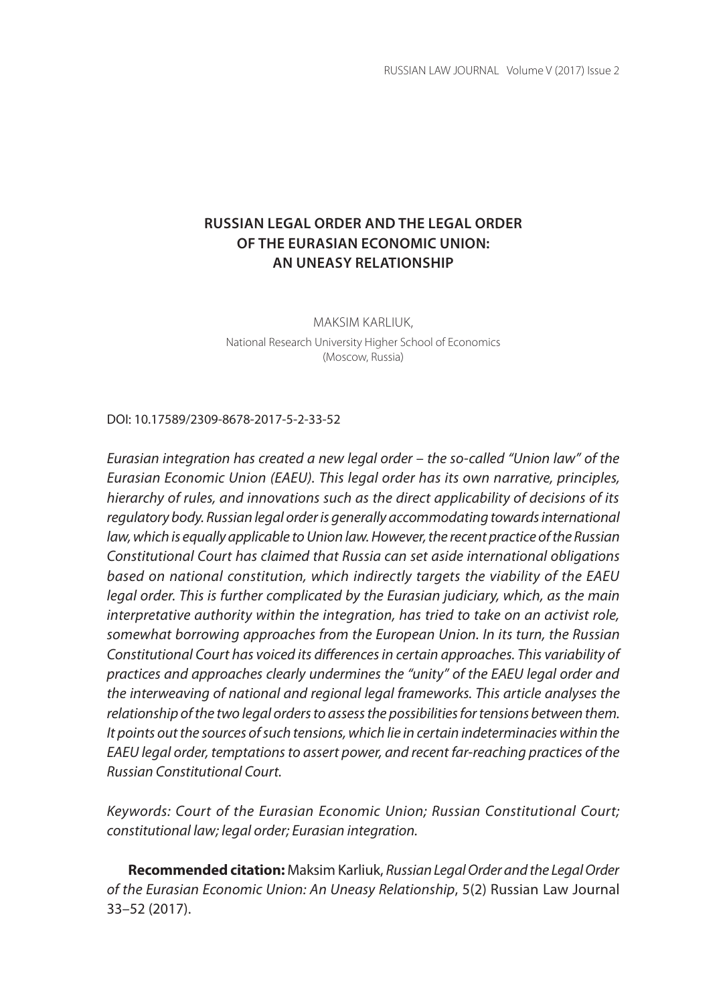# **RUSSIAN LEGAL ORDER AND THE LEGAL ORDER OF THE EURASIAN ECONOMIC UNION: AN UNEASY RELATIONSHIP**

MAKSIM KARLIUK,

National Research University Higher School of Economics (Moscow, Russia)

DOI: 10.17589/2309-8678-2017-5-2-33-52

*Eurasian integration has created a new legal order – the so-called "Union law" of the Eurasian Economic Union (EAEU). This legal order has its own narrative, principles, hierarchy of rules, and innovations such as the direct applicability of decisions of its regulatory body. Russian legal order is generally accommodating towards international law, which is equally applicable to Union law. However, the recent practice of the Russian Constitutional Court has claimed that Russia can set aside international obligations based on national constitution, which indirectly targets the viability of the EAEU legal order. This is further complicated by the Eurasian judiciary, which, as the main interpretative authority within the integration, has tried to take on an activist role, somewhat borrowing approaches from the European Union. In its turn, the Russian Constitutional Court has voiced its differences in certain approaches. This variability of practices and approaches clearly undermines the "unity" of the EAEU legal order and the interweaving of national and regional legal frameworks. This article analyses the relationship of the two legal orders to assess the possibilities for tensions between them. It points out the sources of such tensions, which lie in certain indeterminacies within the EAEU legal order, temptations to assert power, and recent far-reaching practices of the Russian Constitutional Court.*

*Keywords: Court of the Eurasian Economic Union; Russian Constitutional Court; constitutional law; legal order; Eurasian integration.*

**Recommended citation:** Maksim Karliuk, *Russian Legal Order and the Legal Order of the Eurasian Economic Union: An Uneasy Relationship*, 5(2) Russian Law Journal 33–52 (2017).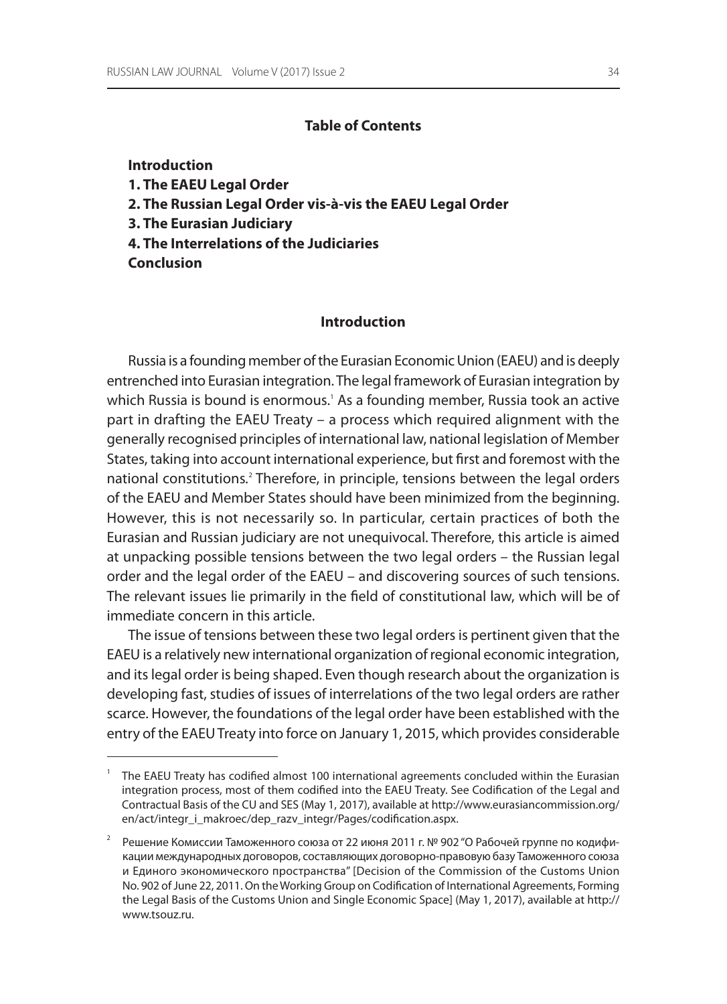# **Table of Contents**

#### **Introduction**

- **1. The EAEU Legal Order**
- **2. The Russian Legal Order vis-à-vis the EAEU Legal Order**
- **3. The Eurasian Judiciary**
- **4. The Interrelations of the Judiciaries**

**Conclusion**

#### **Introduction**

Russia is a founding member of the Eurasian Economic Union (EAEU) and is deeply entrenched into Eurasian integration. The legal framework of Eurasian integration by which Russia is bound is enormous.' As a founding member, Russia took an active part in drafting the EAEU Treaty – a process which required alignment with the generally recognised principles of international law, national legislation of Member States, taking into account international experience, but first and foremost with the national constitutions*.* <sup>2</sup> Therefore, in principle, tensions between the legal orders of the EAEU and Member States should have been minimized from the beginning. However, this is not necessarily so. In particular, certain practices of both the Eurasian and Russian judiciary are not unequivocal. Therefore, this article is aimed at unpacking possible tensions between the two legal orders – the Russian legal order and the legal order of the EAEU – and discovering sources of such tensions. The relevant issues lie primarily in the field of constitutional law, which will be of immediate concern in this article.

The issue of tensions between these two legal orders is pertinent given that the EAEU is a relatively new international organization of regional economic integration, and its legal order is being shaped. Even though research about the organization is developing fast, studies of issues of interrelations of the two legal orders are rather scarce. However, the foundations of the legal order have been established with the entry of the EAEUTreaty into force on January 1, 2015, which provides considerable

<sup>1</sup> The EAEU Treaty has codified almost 100 international agreements concluded within the Eurasian integration process, most of them codified into the EAEU Treaty. See Codification of the Legal and Contractual Basis of the CU and SES (May 1, 2017), available at http://www.eurasiancommission.org/ en/act/integr\_i\_makroec/dep\_razv\_integr/Pages/codification.aspx.

<sup>2</sup> Решение Комиссии Таможенного союза от 22 июня 2011 г. № 902 "О Рабочей группе по кодификации международных договоров, составляющих договорно-правовую базу Таможенного союза и Единого экономического пространства" [Decision of the Commission of the Customs Union No. 902 of June 22, 2011. On the Working Group on Codification of International Agreements, Forming the Legal Basis of the Customs Union and Single Economic Space] (May 1, 2017), available at http:// www.tsouz.ru.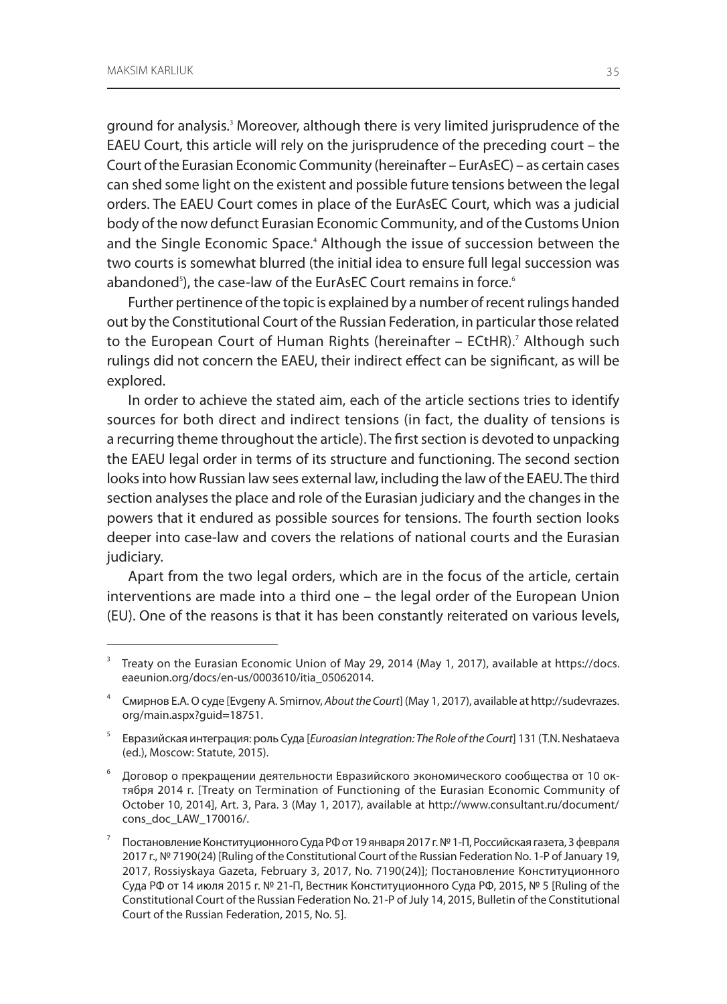ground for analysis.<sup>3</sup> Moreover, although there is very limited jurisprudence of the EAEU Court, this article will rely on the jurisprudence of the preceding court – the Court of the Eurasian Economic Community (hereinafter – EurAsEC) – as certain cases can shed some light on the existent and possible future tensions between the legal orders. The EAEU Court comes in place of the EurAsEC Court, which was a judicial body of the now defunct Eurasian Economic Community, and of the Customs Union and the Single Economic Space.<sup>4</sup> Although the issue of succession between the two courts is somewhat blurred (the initial idea to ensure full legal succession was abandoned<sup>s</sup>), the case-law of the EurAsEC Court remains in force.<sup>6</sup>

Further pertinence of the topic is explained by a number of recent rulings handed out by the Constitutional Court of the Russian Federation, in particular those related to the European Court of Human Rights (hereinafter – ECtHR).<sup>7</sup> Although such rulings did not concern the EAEU, their indirect effect can be significant, as will be explored.

In order to achieve the stated aim, each of the article sections tries to identify sources for both direct and indirect tensions (in fact, the duality of tensions is a recurring theme throughout the article). The first section is devoted to unpacking the EAEU legal order in terms of its structure and functioning. The second section looks into how Russian law sees external law, including the law of the EAEU. The third section analyses the place and role of the Eurasian judiciary and the changes in the powers that it endured as possible sources for tensions. The fourth section looks deeper into case-law and covers the relations of national courts and the Eurasian judiciary.

Apart from the two legal orders, which are in the focus of the article, certain interventions are made into a third one – the legal order of the European Union (EU). One of the reasons is that it has been constantly reiterated on various levels,

 $3$  Treaty on the Eurasian Economic Union of May 29, 2014 (May 1, 2017), available at https://docs. eaeunion.org/docs/en-us/0003610/itia\_05062014.

<sup>4</sup> Смирнов Е.А. Осуде [Evgeny A. Smirnov, *About the Court*] (May 1, 2017), available at http://sudevrazes. org/main.aspx?guid=18751.

<sup>5</sup> Евразийская интеграция: роль Суда [*Euroasian Integration: The Role of the Court*] 131 (T.N. Neshataeva (ed.), Moscow: Statute, 2015).

<sup>6</sup> Договор о прекращении деятельности Евразийского экономического сообщества от 10 октября 2014 г. [Treaty on Termination of Functioning of the Eurasian Economic Community of October 10, 2014], Art. 3, Para. 3 (May 1, 2017), available at http://www.consultant.ru/document/ cons\_doc\_LAW\_170016/.

<sup>7</sup> Постановление Конституционного Суда РФ от 19 января 2017г. №1-П, Российская газета, 3 февраля 2017 г., № 7190(24) [Ruling of the Constitutional Court of the Russian Federation No. 1-P of January 19, 2017, Rossiyskaya Gazeta, February 3, 2017, No. 7190(24)]; Постановление Конституционного Суда РФ от 14 июля 2015 г. № 21-П, Вестник Конституционного Суда РФ, 2015, № 5 [Ruling of the Constitutional Court of the Russian Federation No. 21-P of July 14, 2015, Bulletin of the Constitutional Court of the Russian Federation, 2015, No. 5].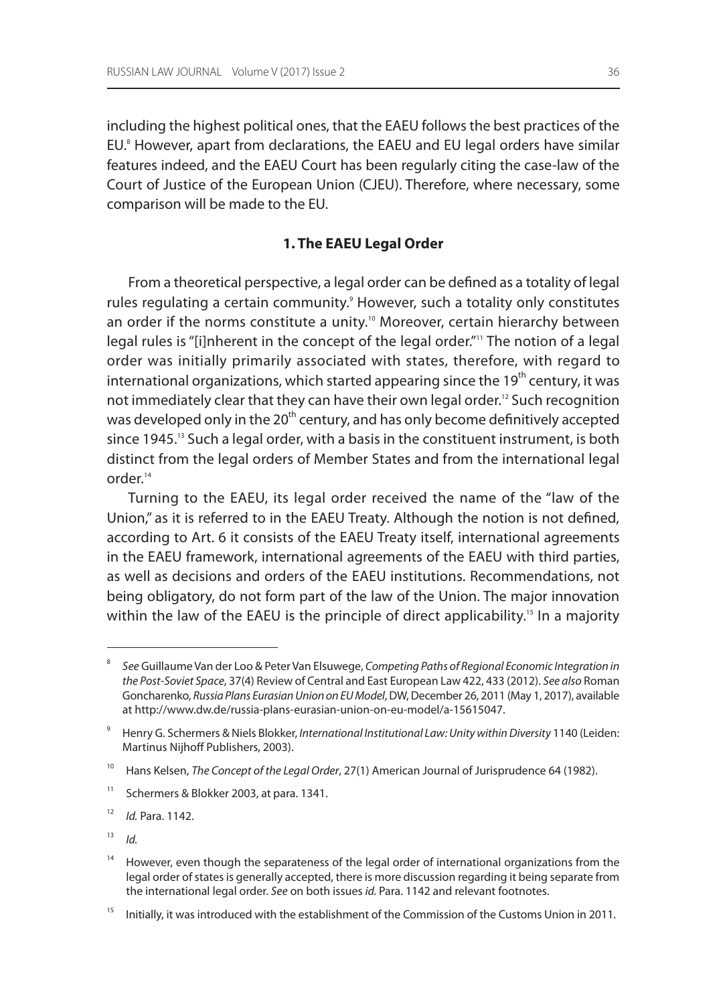including the highest political ones, that the EAEU follows the best practices of the EU. <sup>8</sup> However, apart from declarations, the EAEU and EU legal orders have similar features indeed, and the EAEU Court has been regularly citing the case-law of the Court of Justice of the European Union (CJEU). Therefore, where necessary, some comparison will be made to the EU.

### **1. The EAEU Legal Order**

From a theoretical perspective, a legal order can be defined as a totality of legal rules regulating a certain community.<sup>9</sup> However, such a totality only constitutes an order if the norms constitute a unity.<sup>10</sup> Moreover, certain hierarchy between legal rules is "[i]nherent in the concept of the legal order."<sup>11</sup> The notion of a legal order was initially primarily associated with states, therefore, with regard to international organizations, which started appearing since the  $19<sup>th</sup>$  century, it was not immediately clear that they can have their own legal order.<sup>12</sup> Such recognition was developed only in the 20<sup>th</sup> century, and has only become definitively accepted since 1945.<sup>13</sup> Such a legal order, with a basis in the constituent instrument, is both distinct from the legal orders of Member States and from the international legal order.14

Turning to the EAEU, its legal order received the name of the "law of the Union," as it is referred to in the EAEU Treaty. Although the notion is not defined, according to Art. 6 it consists of the EAEU Treaty itself, international agreements in the EAEU framework, international agreements of the EAEU with third parties, as well as decisions and orders of the EAEU institutions. Recommendations, not being obligatory, do not form part of the law of the Union. The major innovation within the law of the EAEU is the principle of direct applicability.<sup>15</sup> In a majority

<sup>8</sup> *See* Guillaume Van der Loo & Peter Van Elsuwege, *Competing Paths of Regional Economic Integration in the Post-Soviet Space*, 37(4) Review of Central and East European Law 422, 433 (2012). *See also* Roman Goncharenko, *Russia Plans Eurasian Union on EU Model*, DW, December 26, 2011 (May 1, 2017), available at http://www.dw.de/russia-plans-eurasian-union-on-eu-model/a-15615047.

<sup>9</sup> Henry G. Schermers & Niels Blokker, *International Institutional Law: Unity within Diversity* 1140 (Leiden: Martinus Nijhoff Publishers, 2003).

<sup>&</sup>lt;sup>10</sup> Hans Kelsen, *The Concept of the Legal Order*, 27(1) American Journal of Jurisprudence 64 (1982).

<sup>&</sup>lt;sup>11</sup> Schermers & Blokker 2003, at para. 1341.

<sup>12</sup> *Id.* Para. 1142.

 $13$  *Id.* 

<sup>&</sup>lt;sup>14</sup> However, even though the separateness of the legal order of international organizations from the legal order of states is generally accepted, there is more discussion regarding it being separate from the international legal order. *See* on both issues *id.* Para. 1142 and relevant footnotes.

<sup>&</sup>lt;sup>15</sup> Initially, it was introduced with the establishment of the Commission of the Customs Union in 2011.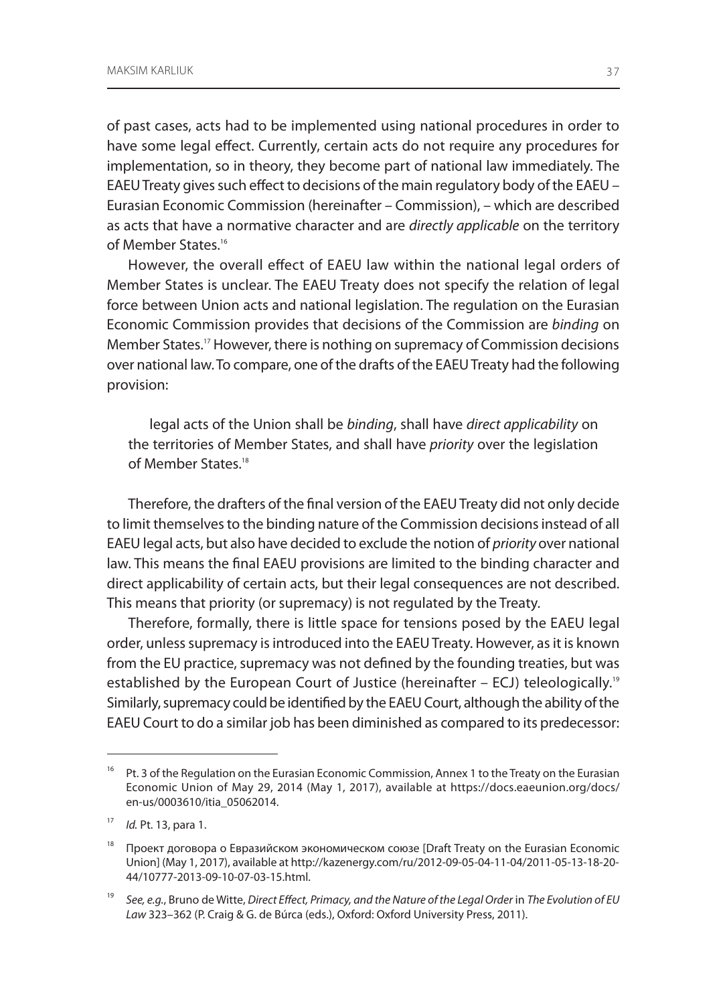of past cases, acts had to be implemented using national procedures in order to have some legal effect. Currently, certain acts do not require any procedures for implementation, so in theory, they become part of national law immediately. The EAEUTreaty gives such effect to decisions of the main regulatory body of the EAEU – Eurasian Economic Commission (hereinafter – Commission), – which are described as acts that have a normative character and are *directly applicable* on the territory of Member States.16

However, the overall effect of EAEU law within the national legal orders of Member States is unclear. The EAEU Treaty does not specify the relation of legal force between Union acts and national legislation. The regulation on the Eurasian Economic Commission provides that decisions of the Commission are *binding* on Member States.17 However, there is nothing on supremacy of Commission decisions over national law. To compare, one of the drafts of the EAEUTreaty had the following provision:

legal acts of the Union shall be *binding*, shall have *direct applicability* on the territories of Member States, and shall have *priority* over the legislation of Member States<sup>18</sup>

Therefore, the drafters of the final version of the EAEUTreaty did not only decide to limit themselves to the binding nature of the Commission decisions instead of all EAEU legal acts, but also have decided to exclude the notion of *priority* over national law. This means the final EAEU provisions are limited to the binding character and direct applicability of certain acts, but their legal consequences are not described. This means that priority (or supremacy) is not regulated by the Treaty.

Therefore, formally, there is little space for tensions posed by the EAEU legal order, unless supremacy is introduced into the EAEUTreaty. However, as it is known from the EU practice, supremacy was not defined by the founding treaties, but was established by the European Court of Justice (hereinafter – ECJ) teleologically.<sup>19</sup> Similarly, supremacy could be identified by the EAEU Court, although the ability of the EAEU Court to do a similar job has been diminished as compared to its predecessor:

<sup>&</sup>lt;sup>16</sup> Pt. 3 of the Regulation on the Eurasian Economic Commission, Annex 1 to the Treaty on the Eurasian Economic Union of May 29, 2014 (May 1, 2017), available at https://docs.eaeunion.org/docs/ en-us/0003610/itia\_05062014.

<sup>17</sup> *Id.* Pt. 13, para 1.

<sup>&</sup>lt;sup>18</sup> Проект договора о Евразийском экономическом союзе [Draft Treaty on the Eurasian Economic Union] (May 1, 2017), available at http://kazenergy.com/ru/2012-09-05-04-11-04/2011-05-13-18-20- 44/10777-2013-09-10-07-03-15.html.

<sup>19</sup> *See, e.g.*, Bruno de Witte, *Direct Effect, Primacy, and the Nature of the Legal Order* in *The Evolution of EU Law* 323–362 (P. Craig & G. de Búrca (eds.), Oxford: Oxford University Press, 2011).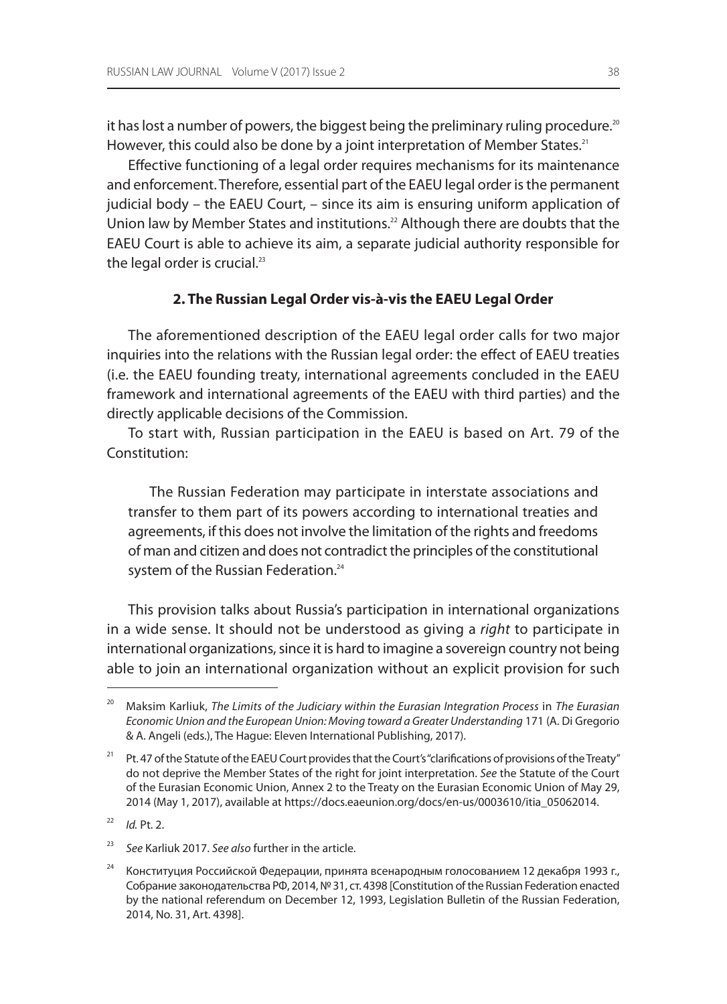it has lost a number of powers, the biggest being the preliminary ruling procedure.<sup>20</sup> However, this could also be done by a joint interpretation of Member States.<sup>21</sup>

Effective functioning of a legal order requires mechanisms for its maintenance and enforcement. Therefore, essential part of the EAEU legal order is the permanent judicial body – the EAEU Court, – since its aim is ensuring uniform application of Union law by Member States and institutions.<sup>22</sup> Although there are doubts that the EAEU Court is able to achieve its aim, a separate judicial authority responsible for the legal order is crucial.<sup>23</sup>

#### **2. The Russian Legal Order vis-à-vis the EAEU Legal Order**

The aforementioned description of the EAEU legal order calls for two major inquiries into the relations with the Russian legal order: the effect of EAEU treaties (i.e. the EAEU founding treaty, international agreements concluded in the EAEU framework and international agreements of the EAEU with third parties) and the directly applicable decisions of the Commission.

To start with, Russian participation in the EAEU is based on Art. 79 of the Constitution:

The Russian Federation may participate in interstate associations and transfer to them part of its powers according to international treaties and agreements, if this does not involve the limitation of the rights and freedoms of man and citizen and does not contradict the principles of the constitutional system of the Russian Federation.<sup>24</sup>

This provision talks about Russia's participation in international organizations in a wide sense. It should not be understood as giving a *right* to participate in international organizations, since it is hard to imagine a sovereign country not being able to join an international organization without an explicit provision for such

<sup>20</sup> Maksim Karliuk, *The Limits of the Judiciary within the Eurasian Integration Process* in *The Eurasian Economic Union and the European Union: Moving toward a Greater Understanding* 171 (A. Di Gregorio & A. Angeli (eds.), The Hague: Eleven International Publishing, 2017).

<sup>&</sup>lt;sup>21</sup> Pt. 47 of the Statute of the EAEU Court provides that the Court's "clarifications of provisions of the Treaty" do not deprive the Member States of the right for joint interpretation. *See* the Statute of the Court of the Eurasian Economic Union, Annex 2 to the Treaty on the Eurasian Economic Union of May 29, 2014 (May 1, 2017), available at https://docs.eaeunion.org/docs/en-us/0003610/itia\_05062014.

<sup>22</sup> *Id.* Pt. 2.

<sup>23</sup> *See* Karliuk 2017. *See also* further in the article.

<sup>&</sup>lt;sup>24</sup> Конституция Российской Федерации, принята всенародным голосованием 12 декабря 1993 г., Собрание законодательства РФ, 2014, №31, ст. 4398 [Constitution of the Russian Federation enacted by the national referendum on December 12, 1993, Legislation Bulletin of the Russian Federation, 2014, No. 31, Art. 4398].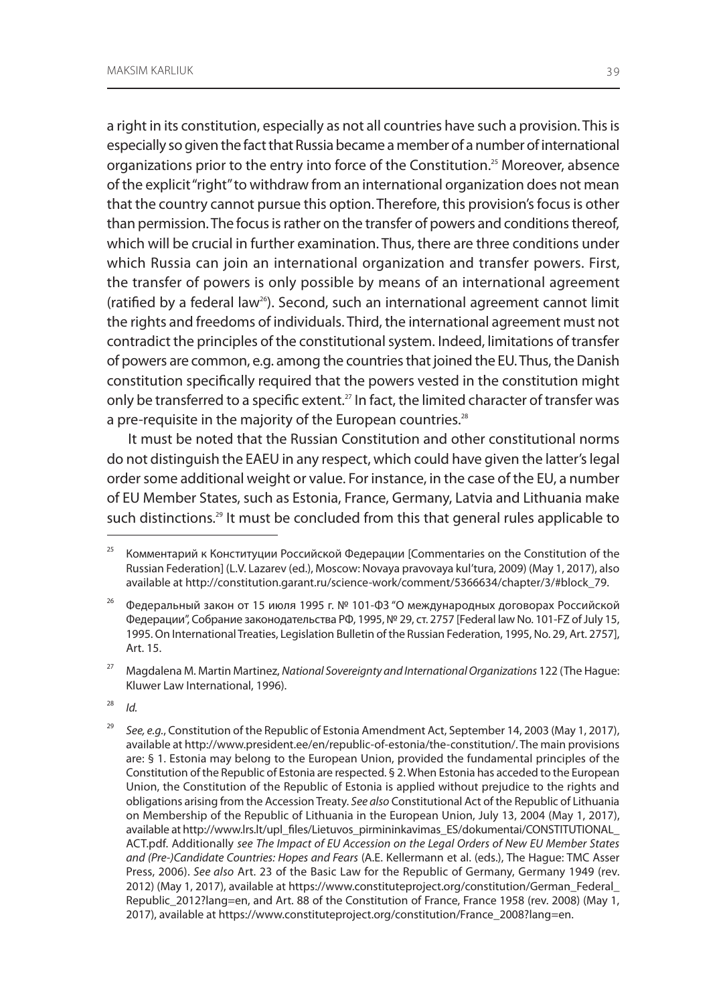a right in its constitution, especially as not all countries have such a provision. This is especially so given the fact that Russia became a member of a number of international organizations prior to the entry into force of the Constitution.<sup>25</sup> Moreover, absence of the explicit "right" to withdraw from an international organization does not mean that the country cannot pursue this option. Therefore, this provision's focus is other than permission. The focus is rather on the transfer of powers and conditions thereof, which will be crucial in further examination. Thus, there are three conditions under which Russia can join an international organization and transfer powers. First, the transfer of powers is only possible by means of an international agreement (ratified by a federal law<sup>26</sup>). Second, such an international agreement cannot limit the rights and freedoms of individuals. Third, the international agreement must not contradict the principles of the constitutional system. Indeed, limitations of transfer of powers are common, e.g. among the countries that joined the EU. Thus, the Danish constitution specifically required that the powers vested in the constitution might only be transferred to a specific extent.<sup>27</sup> In fact, the limited character of transfer was a pre-requisite in the majority of the European countries.<sup>28</sup>

It must be noted that the Russian Constitution and other constitutional norms do not distinguish the EAEU in any respect, which could have given the latter's legal order some additional weight or value. For instance, in the case of the EU, a number of EU Member States, such as Estonia, France, Germany, Latvia and Lithuania make such distinctions.<sup>29</sup> It must be concluded from this that general rules applicable to

27 Magdalena M. Martin Martinez, *National Sovereignty and International Organizations* 122 (The Hague: Kluwer Law International, 1996).

28 *Id.*

<sup>&</sup>lt;sup>25</sup> Комментарий к Конституции Российской Федерации [Commentaries on the Constitution of the Russian Federation] (L.V. Lazarev (ed.), Moscow: Novaya pravovaya kul'tura, 2009) (May 1, 2017), also available at http://constitution.garant.ru/science-work/comment/5366634/chapter/3/#block\_79.

<sup>&</sup>lt;sup>26</sup> Федеральный закон от 15 июля 1995 г. № 101-ФЗ "О международных договорах Российской Федерации", Собрание законодательства РФ, 1995, № 29, ст. 2757 [Federal law No. 101-FZ of July 15, 1995. On International Treaties, Legislation Bulletin of the Russian Federation, 1995, No. 29, Art. 2757], Art. 15.

<sup>29</sup> *See, e.g.*, Constitution of the Republic of Estonia Amendment Act, September 14, 2003 (May 1, 2017), available at http://www.president.ee/en/republic-of-estonia/the-constitution/. The main provisions are: § 1. Estonia may belong to the European Union, provided the fundamental principles of the Constitution of the Republic of Estonia are respected. § 2. When Estonia has acceded to the European Union, the Constitution of the Republic of Estonia is applied without prejudice to the rights and obligations arising from the Accession Treaty. *See also* Constitutional Act of the Republic of Lithuania on Membership of the Republic of Lithuania in the European Union, July 13, 2004 (May 1, 2017), available at http://www.lrs.lt/upl\_files/Lietuvos\_pirmininkavimas\_ES/dokumentai/CONSTITUTIONAL\_ ACT.pdf. Additionally *see The Impact of EU Accession on the Legal Orders of New EU Member States and (Pre-)Candidate Countries: Hopes and Fears* (A.E. Kellermann et al. (eds.), The Hague: TMC Asser Press, 2006). *See also* Art. 23 of the Basic Law for the Republic of Germany, Germany 1949 (rev. 2012) (May 1, 2017), available at https://www.constituteproject.org/constitution/German\_Federal\_ Republic\_2012?lang=en, and Art. 88 of the Constitution of France, France 1958 (rev. 2008) (May 1, 2017), available at https://www.constituteproject.org/constitution/France\_2008?lang=en.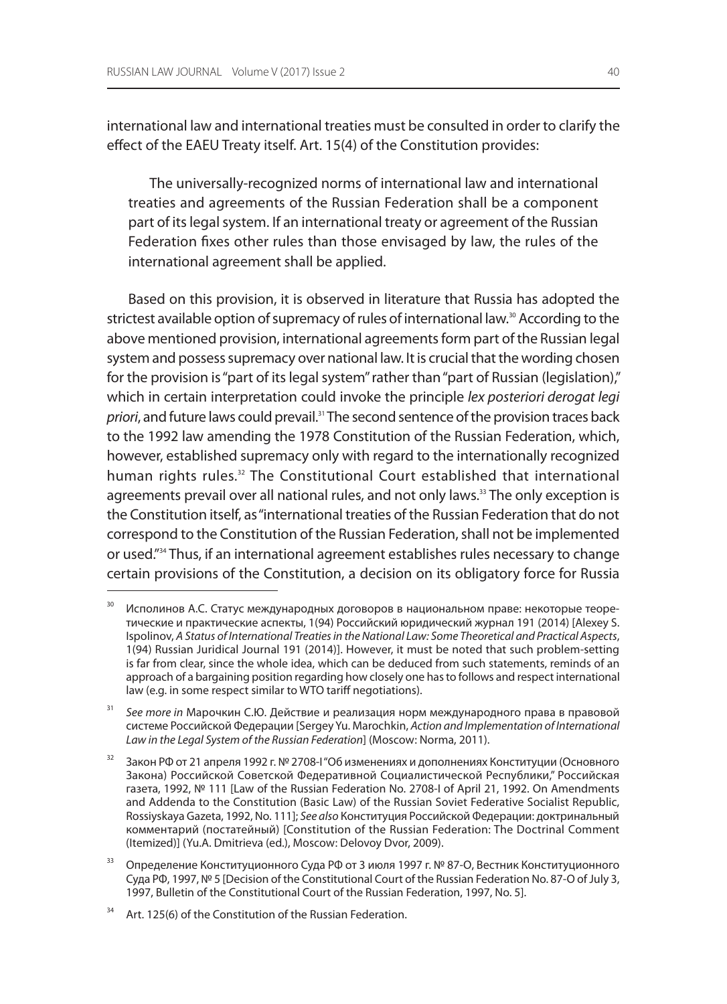international law and international treaties must be consulted in order to clarify the effect of the EAEU Treaty itself. Art. 15(4) of the Constitution provides:

The universally-recognized norms of international law and international treaties and agreements of the Russian Federation shall be a component part of its legal system. If an international treaty or agreement of the Russian Federation fixes other rules than those envisaged by law, the rules of the international agreement shall be applied.

Based on this provision, it is observed in literature that Russia has adopted the strictest available option of supremacy of rules of international law.<sup>30</sup> According to the above mentioned provision, international agreements form part of the Russian legal system and possess supremacy over national law. It is crucial that the wording chosen for the provision is "part of its legal system" rather than "part of Russian (legislation)," which in certain interpretation could invoke the principle *lex posteriori derogat legi priori*, and future laws could prevail.<sup>31</sup> The second sentence of the provision traces back to the 1992 law amending the 1978 Constitution of the Russian Federation, which, however, established supremacy only with regard to the internationally recognized human rights rules.<sup>32</sup> The Constitutional Court established that international agreements prevail over all national rules, and not only laws.<sup>33</sup> The only exception is the Constitution itself, as "international treaties of the Russian Federation that do not correspond to the Constitution of the Russian Federation, shall not be implemented or used."34 Thus, if an international agreement establishes rules necessary to change certain provisions of the Constitution, a decision on its obligatory force for Russia

<sup>30</sup> Исполинов А.С. Статус международных договоров в национальном праве: некоторые теоретические и практические аспекты, 1(94) Российский юридический журнал 191 (2014) [Alexey S. Ispolinov, *A Status of International Treaties in the National Law: Some Theoretical and Practical Aspects*, 1(94) Russian Juridical Journal 191 (2014)]. However, it must be noted that such problem-setting is far from clear, since the whole idea, which can be deduced from such statements, reminds of an approach of a bargaining position regarding how closely one has to follows and respect international law (e.g. in some respect similar to WTO tariff negotiations).

<sup>31</sup> *See more in* Марочкин С.Ю. Действие и реализация норм международного права в правовой системе Российской Федерации [Sergey Yu. Marochkin, *Action and Implementation of International Law in the Legal System of the Russian Federation*] (Moscow: Norma, 2011).

<sup>&</sup>lt;sup>32</sup> Закон РФ от 21 апреля 1992 г. № 2708-1 "Об изменениях и дополнениях Конституции (Основного Закона) Российской Советской Федеративной Социалистической Республики," Российская газета, 1992, № 111 [Law of the Russian Federation No. 2708-I of April 21, 1992. On Amendments and Addenda to the Constitution (Basic Law) of the Russian Soviet Federative Socialist Republic, Rossiyskaya Gazeta, 1992, No. 111]; *See also* Конституция Российской Федерации: доктринальный комментарий (постатейный) [Constitution of the Russian Federation: The Doctrinal Comment (Itemized)] (Yu.A. Dmitrieva (ed.), Moscow: Delovoy Dvor, 2009).

<sup>&</sup>lt;sup>33</sup> Определение Конституционного Суда РФ от 3 июля 1997 г. № 87-О, Вестник Конституционного Суда РФ, 1997, № 5 [Decision of the Constitutional Court of the Russian Federation No. 87-O of July 3, 1997, Bulletin of the Constitutional Court of the Russian Federation, 1997, No. 5].

Art. 125(6) of the Constitution of the Russian Federation.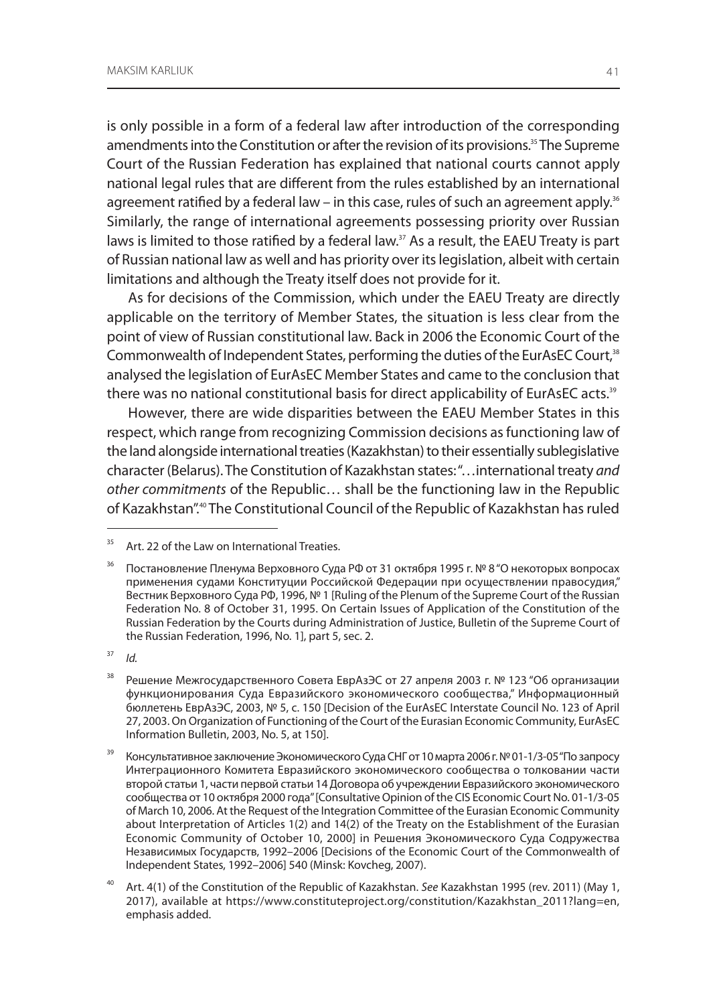is only possible in a form of a federal law after introduction of the corresponding amendments into the Constitution or after the revision of its provisions.<sup>35</sup> The Supreme Court of the Russian Federation has explained that national courts cannot apply national legal rules that are different from the rules established by an international agreement ratified by a federal law – in this case, rules of such an agreement apply.<sup>36</sup> Similarly, the range of international agreements possessing priority over Russian laws is limited to those ratified by a federal law.<sup>37</sup> As a result, the EAEU Treaty is part of Russian national law as well and has priority over its legislation, albeit with certain limitations and although the Treaty itself does not provide for it.

As for decisions of the Commission, which under the EAEU Treaty are directly applicable on the territory of Member States, the situation is less clear from the point of view of Russian constitutional law. Back in 2006 the Economic Court of the Commonwealth of Independent States, performing the duties of the EurAsEC Court,<sup>38</sup> analysed the legislation of EurAsEC Member States and came to the conclusion that there was no national constitutional basis for direct applicability of EurAsEC acts.<sup>39</sup>

However, there are wide disparities between the EAEU Member States in this respect, which range from recognizing Commission decisions as functioning law of the land alongside international treaties (Kazakhstan) to their essentially sublegislative character (Belarus). The Constitution of Kazakhstan states: "…international treaty *and other commitments* of the Republic… shall be the functioning law in the Republic of Kazakhstan".40 The Constitutional Council of the Republic of Kazakhstan has ruled

Art. 22 of the Law on International Treaties.

<sup>&</sup>lt;sup>36</sup> Постановление Пленума Верховного Суда РФ от 31 октября 1995 г. № 8 "О некоторых вопросах применения судами Конституции Российской Федерации при осуществлении правосудия," Вестник Верховного Суда РФ, 1996, № 1 [Ruling of the Plenum of the Supreme Court of the Russian Federation No. 8 of October 31, 1995. On Certain Issues of Application of the Constitution of the Russian Federation by the Courts during Administration of Justice, Bulletin of the Supreme Court of the Russian Federation, 1996, No. 1], part 5, sec. 2.

<sup>37</sup> *Id.*

<sup>38</sup> Решение Межгосударственного Совета ЕврАзЭС от 27 апреля 2003 г. № 123 "Об организации функционирования Суда Евразийского экономического сообщества," Информационный бюллетень ЕврАзЭС, 2003, № 5, с. 150 [Decision of the EurAsEC Interstate Council No. 123 of April 27, 2003. On Organization of Functioning of the Court of the Eurasian Economic Community, EurAsEC Information Bulletin, 2003, No. 5, at 150].

Консультативное заключение Экономического Суда СНГ от 10 марта 2006 г. № 01-1/3-05 "По запросу Интеграционного Комитета Евразийского экономического сообщества о толковании части второй статьи 1, части первой статьи 14 Договора об учреждении Евразийского экономического сообщества от 10 октября 2000 года" [Consultative Opinion of the CIS Economic Court No. 01-1/3-05 of March 10, 2006. At the Request of the Integration Committee of the Eurasian Economic Community about Interpretation of Articles 1(2) and 14(2) of the Treaty on the Establishment of the Eurasian Economic Community of October 10, 2000] in Решения Экономического Суда Содружества Независимых Государств, 1992–2006 [Decisions of the Economic Court of the Commonwealth of Independent States, 1992–2006] 540 (Minsk: Kovcheg, 2007).

<sup>40</sup> Art. 4(1) of the Constitution of the Republic of Kazakhstan. *See* Kazakhstan 1995 (rev. 2011) (May 1, 2017), available at https://www.constituteproject.org/constitution/Kazakhstan\_2011?lang=en, emphasis added.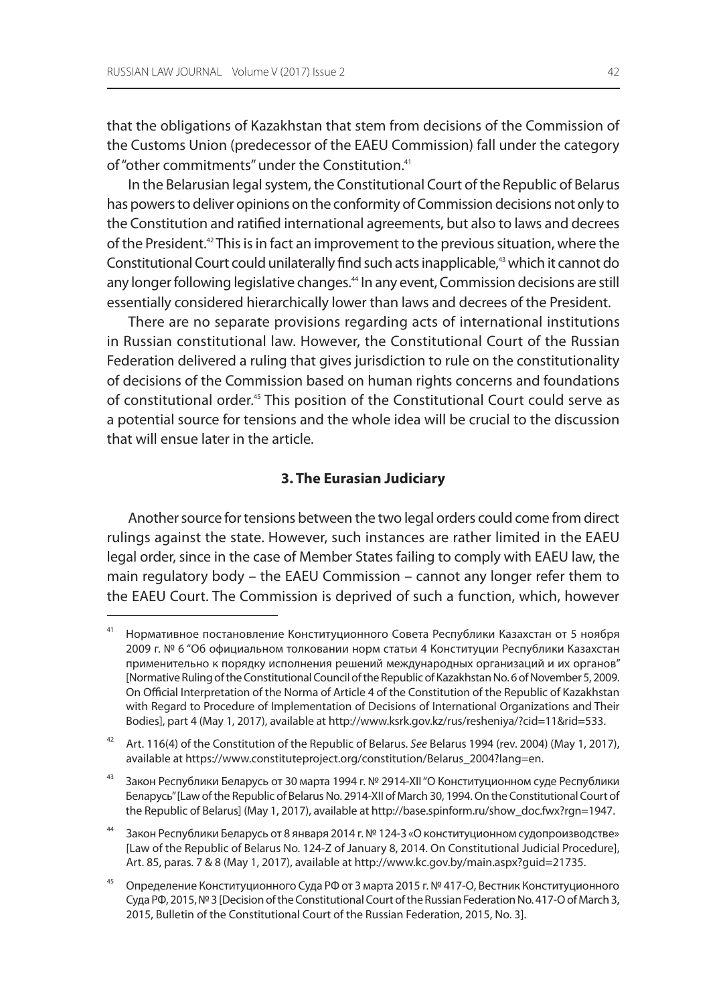that the obligations of Kazakhstan that stem from decisions of the Commission of the Customs Union (predecessor of the EAEU Commission) fall under the category of "other commitments" under the Constitution.<sup>41</sup>

In the Belarusian legal system, the Constitutional Court of the Republic of Belarus has powers to deliver opinions on the conformity of Commission decisions not only to the Constitution and ratified international agreements, but also to laws and decrees of the President.42 This is in fact an improvement to the previous situation, where the Constitutional Court could unilaterally find such acts inapplicable,<sup>43</sup> which it cannot do any longer following legislative changes.<sup>44</sup> In any event, Commission decisions are still essentially considered hierarchically lower than laws and decrees of the President.

There are no separate provisions regarding acts of international institutions in Russian constitutional law. However, the Constitutional Court of the Russian Federation delivered a ruling that gives jurisdiction to rule on the constitutionality of decisions of the Commission based on human rights concerns and foundations of constitutional order.45 This position of the Constitutional Court could serve as a potential source for tensions and the whole idea will be crucial to the discussion that will ensue later in the article.

#### **3. The Eurasian Judiciary**

Another source for tensions between the two legal orders could come from direct rulings against the state. However, such instances are rather limited in the EAEU legal order, since in the case of Member States failing to comply with EAEU law, the main regulatory body – the EAEU Commission – cannot any longer refer them to the EAEU Court. The Commission is deprived of such a function, which, however

<sup>41</sup> Нормативное постановление Конституционного Совета Республики Казахстан от 5 ноября 2009 г. № 6 "Об официальном толковании норм статьи 4 Конституции Республики Казахстан применительно к порядку исполнения решений международных организаций и их органов" [Normative Ruling of the Constitutional Council of the Republic of Kazakhstan No.6 of November 5, 2009. On Official Interpretation of the Norma of Article 4 of the Constitution of the Republic of Kazakhstan with Regard to Procedure of Implementation of Decisions of International Organizations and Their Bodies], part 4 (May 1, 2017), available at http://www.ksrk.gov.kz/rus/resheniya/?cid=11&rid=533.

<sup>42</sup> Art. 116(4) of the Constitution of the Republic of Belarus. *See* Belarus 1994 (rev. 2004) (May 1, 2017), available at https://www.constituteproject.org/constitution/Belarus\_2004?lang=en.

<sup>&</sup>lt;sup>43</sup> Закон Республики Беларусь от 30 марта 1994 г. № 2914-XII "О Конституционном суде Республики Беларусь" [Law of the Republic of Belarus No. 2914-XII of March 30, 1994. On the Constitutional Court of the Republic of Belarus] (May 1, 2017), available at http://base.spinform.ru/show\_doc.fwx?rgn=1947.

Закон Республики Беларусь от 8 января 2014 г. № 124-3 «О конституционном судопроизводстве» [Law of the Republic of Belarus No. 124-Z of January 8, 2014. On Constitutional Judicial Procedure], Art. 85, paras. 7 & 8 (May 1, 2017), available at http://www.kc.gov.by/main.aspx?guid=21735.

Определение Конституционного Суда РФ от 3 марта 2015 г. № 417-О, Вестник Конституционного Суда РФ, 2015, №3 [Decision of the Constitutional Court of the Russian Federation No. 417-O of March 3, 2015, Bulletin of the Constitutional Court of the Russian Federation, 2015, No. 3].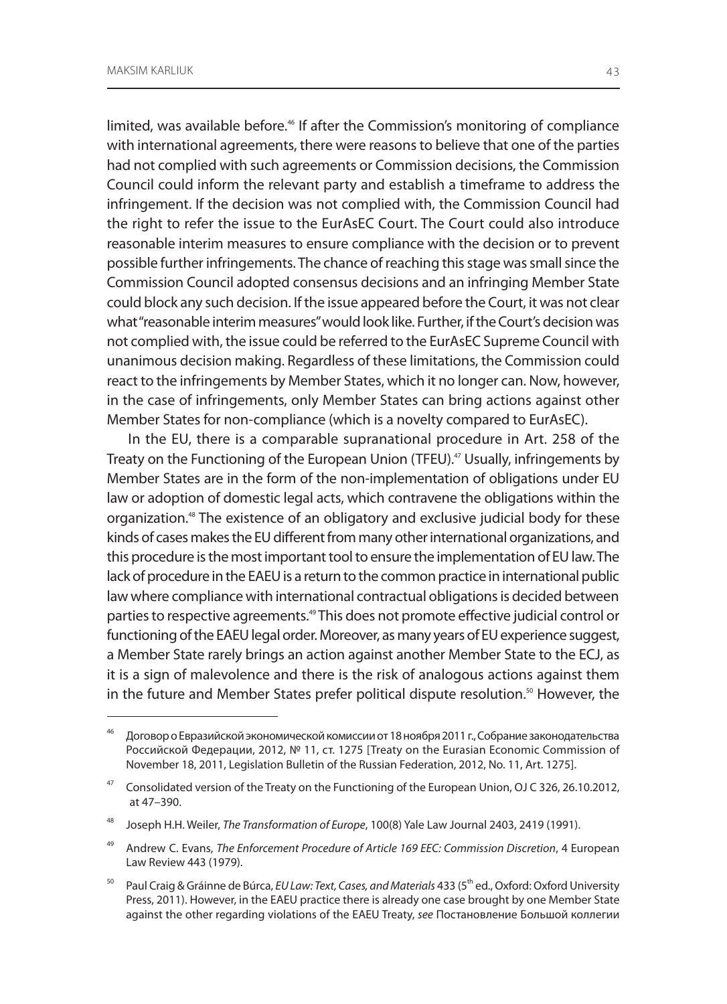limited, was available before.<sup>46</sup> If after the Commission's monitoring of compliance with international agreements, there were reasons to believe that one of the parties had not complied with such agreements or Commission decisions, the Commission Council could inform the relevant party and establish a timeframe to address the infringement. If the decision was not complied with, the Commission Council had the right to refer the issue to the EurAsEC Court. The Court could also introduce reasonable interim measures to ensure compliance with the decision or to prevent possible further infringements. The chance of reaching this stage was small since the Commission Council adopted consensus decisions and an infringing Member State could block any such decision. If the issue appeared before the Court, it was not clear what "reasonable interim measures" would look like. Further, if the Court's decision was not complied with, the issue could be referred to the EurAsEC Supreme Council with unanimous decision making. Regardless of these limitations, the Commission could react to the infringements by Member States, which it no longer can. Now, however, in the case of infringements, only Member States can bring actions against other Member States for non-compliance (which is a novelty compared to EurAsEC).

In the EU, there is a comparable supranational procedure in Art. 258 of the Treaty on the Functioning of the European Union (TFEU).<sup>47</sup> Usually, infringements by Member States are in the form of the non-implementation of obligations under EU law or adoption of domestic legal acts, which contravene the obligations within the organization.48 The existence of an obligatory and exclusive judicial body for these kinds of cases makes the EU different from many other international organizations, and this procedure is the most important tool to ensure the implementation of EU law. The lack of procedure in the EAEU is a return to the common practice in international public law where compliance with international contractual obligations is decided between parties to respective agreements.<sup>49</sup> This does not promote effective judicial control or functioning of the EAEU legal order. Moreover, as many years of EU experience suggest, a Member State rarely brings an action against another Member State to the ECJ, as it is a sign of malevolence and there is the risk of analogous actions against them in the future and Member States prefer political dispute resolution.<sup>50</sup> However, the

<sup>46</sup> Договор оЕвразийской экономической комиссии от 18 ноября 2011 г., Собрание законодательства Российской Федерации, 2012, № 11, ст. 1275 [Treaty on the Eurasian Economic Commission of November 18, 2011, Legislation Bulletin of the Russian Federation, 2012, No. 11, Art. 1275].

<sup>&</sup>lt;sup>47</sup> Consolidated version of the Treaty on the Functioning of the European Union, OJ C 326, 26.10.2012, at 47–390.

<sup>48</sup> Joseph H.H. Weiler, *The Transformation of Europe*, 100(8) Yale Law Journal 2403, 2419 (1991).

<sup>49</sup> Andrew C. Evans, *The Enforcement Procedure of Article 169 EEC: Commission Discretion*, 4 European Law Review 443 (1979).

<sup>50</sup> Paul Craig & Gráinne de Búrca, *EU Law: Text, Cases, and Materials* 433 (5th ed., Oxford: Oxford University Press, 2011). However, in the EAEU practice there is already one case brought by one Member State against the other regarding violations of the EAEU Treaty, *see* Постановление Большой коллегии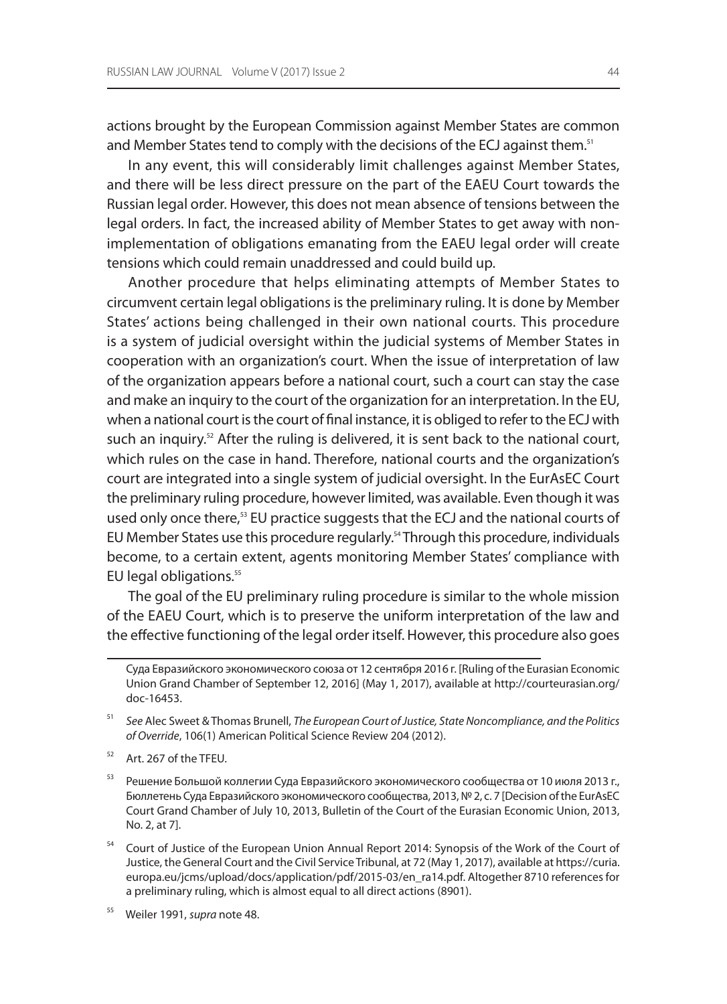actions brought by the European Commission against Member States are common and Member States tend to comply with the decisions of the ECJ against them.<sup>51</sup>

In any event, this will considerably limit challenges against Member States, and there will be less direct pressure on the part of the EAEU Court towards the Russian legal order. However, this does not mean absence of tensions between the legal orders. In fact, the increased ability of Member States to get away with nonimplementation of obligations emanating from the EAEU legal order will create tensions which could remain unaddressed and could build up.

Another procedure that helps eliminating attempts of Member States to circumvent certain legal obligations is the preliminary ruling. It is done by Member States' actions being challenged in their own national courts. This procedure is a system of judicial oversight within the judicial systems of Member States in cooperation with an organization's court. When the issue of interpretation of law of the organization appears before a national court, such a court can stay the case and make an inquiry to the court of the organization for an interpretation. In the EU, when a national court is the court of final instance, it is obliged to refer to the ECJ with such an inquiry.<sup>52</sup> After the ruling is delivered, it is sent back to the national court, which rules on the case in hand. Therefore, national courts and the organization's court are integrated into a single system of judicial oversight. In the EurAsEC Court the preliminary ruling procedure, however limited, was available. Even though it was used only once there,<sup>53</sup> EU practice suggests that the ECJ and the national courts of EU Member States use this procedure regularly.<sup>54</sup> Through this procedure, individuals become, to a certain extent, agents monitoring Member States' compliance with EU legal obligations.<sup>55</sup>

The goal of the EU preliminary ruling procedure is similar to the whole mission of the EAEU Court, which is to preserve the uniform interpretation of the law and the effective functioning of the legal order itself. However, this procedure also goes

55 Weiler 1991, *supra* note 48.

Суда Евразийского экономического союза от 12 сентября 2016 г. [Ruling of the Eurasian Economic Union Grand Chamber of September 12, 2016] (May 1, 2017), available at http://courteurasian.org/ doc-16453.

<sup>51</sup> *See* Alec Sweet & Thomas Brunell, *The European Court of Justice, State Noncompliance, and the Politics of Override*, 106(1) American Political Science Review 204 (2012).

<sup>&</sup>lt;sup>52</sup> Art. 267 of the TFEU.

<sup>&</sup>lt;sup>53</sup> Решение Большой коллегии Суда Евразийского экономического сообщества от 10 июля 2013 г., Бюллетень Суда Евразийского экономического сообщества, 2013, №2, с. 7 [Decision of the EurAsEC Court Grand Chamber of July 10, 2013, Bulletin of the Court of the Eurasian Economic Union, 2013, No. 2, at 7].

<sup>&</sup>lt;sup>54</sup> Court of Justice of the European Union Annual Report 2014: Synopsis of the Work of the Court of Justice, the General Court and the Civil Service Tribunal, at 72 (May 1, 2017), available at https://curia. europa.eu/jcms/upload/docs/application/pdf/2015-03/en\_ra14.pdf. Altogether 8710 references for a preliminary ruling, which is almost equal to all direct actions (8901).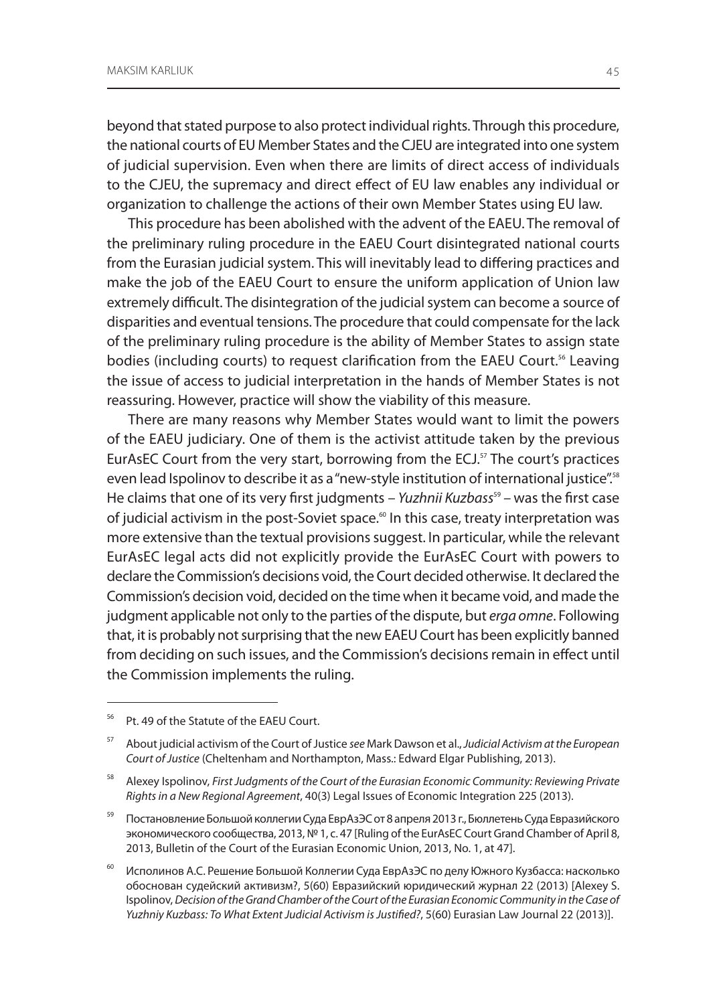beyond that stated purpose to also protect individual rights. Through this procedure, the national courts of EU Member States and the CJEU are integrated into one system of judicial supervision. Even when there are limits of direct access of individuals to the CJEU, the supremacy and direct effect of EU law enables any individual or organization to challenge the actions of their own Member States using EU law.

This procedure has been abolished with the advent of the EAEU. The removal of the preliminary ruling procedure in the EAEU Court disintegrated national courts from the Eurasian judicial system. This will inevitably lead to differing practices and make the job of the EAEU Court to ensure the uniform application of Union law extremely difficult. The disintegration of the judicial system can become a source of disparities and eventual tensions. The procedure that could compensate for the lack of the preliminary ruling procedure is the ability of Member States to assign state bodies (including courts) to request clarification from the EAEU Court.<sup>56</sup> Leaving the issue of access to judicial interpretation in the hands of Member States is not reassuring. However, practice will show the viability of this measure.

There are many reasons why Member States would want to limit the powers of the EAEU judiciary. One of them is the activist attitude taken by the previous EurAsEC Court from the very start, borrowing from the ECJ.<sup>57</sup> The court's practices even lead Ispolinov to describe it as a "new-style institution of international justice".<sup>58</sup> He claims that one of its very first judgments - Yuzhnii Kuzbass<sup>59</sup> - was the first case of judicial activism in the post-Soviet space.<sup>60</sup> In this case, treaty interpretation was more extensive than the textual provisions suggest. In particular, while the relevant EurAsEC legal acts did not explicitly provide the EurAsEC Court with powers to declare the Commission's decisions void, the Court decided otherwise. It declared the Commission's decision void, decided on the time when it became void, and made the judgment applicable not only to the parties of the dispute, but *erga omne*. Following that, it is probably not surprising that the new EAEU Court has been explicitly banned from deciding on such issues, and the Commission's decisions remain in effect until the Commission implements the ruling.

<sup>56</sup> Pt. 49 of the Statute of the EAEU Court.

<sup>57</sup> About judicial activism of the Court of Justice *see* Mark Dawson et al., *Judicial Activism at the European Court of Justice* (Cheltenham and Northampton, Mass.: Edward Elgar Publishing, 2013).

<sup>58</sup> Alexey Ispolinov, *First Judgments of the Court of the Eurasian Economic Community: Reviewing Private Rights in a New Regional Agreement*, 40(3) Legal Issues of Economic Integration 225 (2013).

<sup>&</sup>lt;sup>59</sup> Постановление Большой коллегии Суда ЕврАзЭС от 8 апреля 2013 г., Бюллетень Суда Евразийского экономического сообщества, 2013, №1, с. 47 [Ruling of the EurAsEC Court Grand Chamber of April 8, 2013, Bulletin of the Court of the Eurasian Economic Union, 2013, No. 1, at 47].

<sup>&</sup>lt;sup>60</sup> Исполинов А.С. Решение Большой Коллегии Суда ЕврАзЭС по делу Южного Кузбасса: насколько обоснован судейский активизм?, 5(60) Евразийский юридический журнал 22 (2013) [Alexey S. Ispolinov, *Decision of the Grand Chamber of the Court of the Eurasian Economic Community in the Case of Yuzhniy Kuzbass: To What Extent Judicial Activism is Justified?*, 5(60) Eurasian Law Journal 22 (2013)].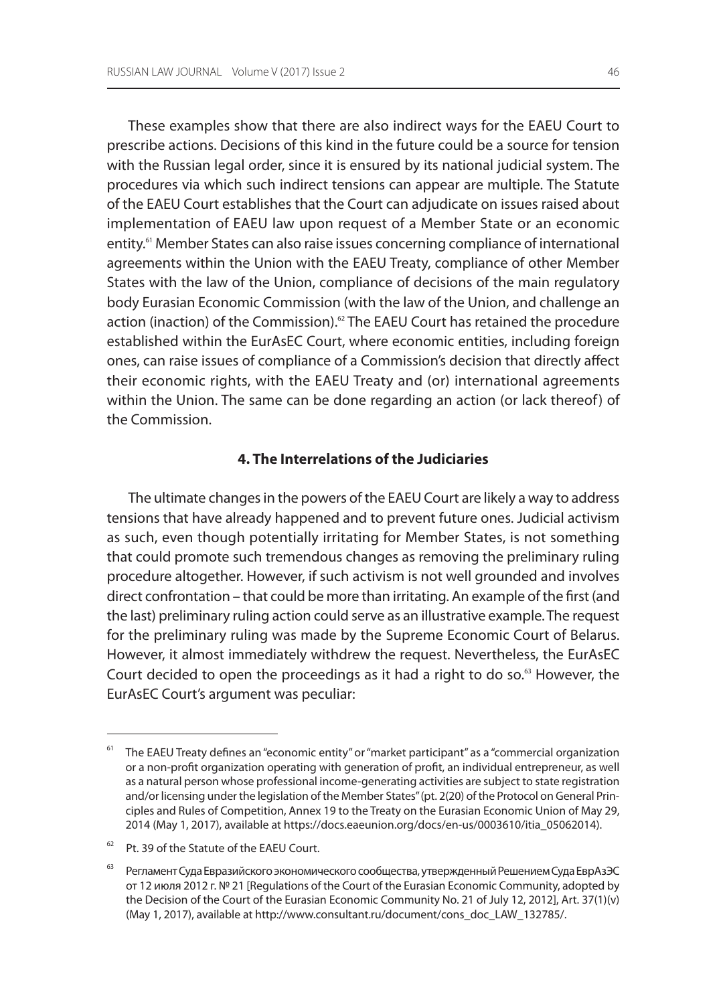These examples show that there are also indirect ways for the EAEU Court to prescribe actions. Decisions of this kind in the future could be a source for tension with the Russian legal order, since it is ensured by its national judicial system. The procedures via which such indirect tensions can appear are multiple. The Statute of the EAEU Court establishes that the Court can adjudicate on issues raised about implementation of EAEU law upon request of a Member State or an economic entity.<sup>61</sup> Member States can also raise issues concerning compliance of international agreements within the Union with the EAEU Treaty, compliance of other Member States with the law of the Union, compliance of decisions of the main regulatory body Eurasian Economic Commission (with the law of the Union, and challenge an action (inaction) of the Commission).<sup>62</sup> The EAEU Court has retained the procedure established within the EurAsEC Court, where economic entities, including foreign ones, can raise issues of compliance of a Commission's decision that directly affect their economic rights, with the EAEU Treaty and (or) international agreements within the Union. The same can be done regarding an action (or lack thereof) of the Commission.

### **4. The Interrelations of the Judiciaries**

The ultimate changes in the powers of the EAEU Court are likely a way to address tensions that have already happened and to prevent future ones. Judicial activism as such, even though potentially irritating for Member States, is not something that could promote such tremendous changes as removing the preliminary ruling procedure altogether. However, if such activism is not well grounded and involves direct confrontation – that could be more than irritating. An example of the first (and the last) preliminary ruling action could serve as an illustrative example. The request for the preliminary ruling was made by the Supreme Economic Court of Belarus. However, it almost immediately withdrew the request. Nevertheless, the EurAsEC Court decided to open the proceedings as it had a right to do so.<sup>63</sup> However, the EurAsEC Court's argument was peculiar:

The EAEU Treaty defines an "economic entity" or "market participant" as a "commercial organization or a non-profit organization operating with generation of profit, an individual entrepreneur, as well as a natural person whose professional income-generating activities are subject to state registration and/or licensing under the legislation of the Member States" (pt. 2(20) of the Protocol on General Principles and Rules of Competition, Annex 19 to the Treaty on the Eurasian Economic Union of May 29, 2014 (May 1, 2017), available at https://docs.eaeunion.org/docs/en-us/0003610/itia\_05062014).

<sup>&</sup>lt;sup>62</sup> Pt. 39 of the Statute of the EAEU Court.

<sup>&</sup>lt;sup>63</sup> Регламент Суда Евразийского экономического сообщества, утвержденный Решением Суда ЕврАзЭС от 12 июля 2012 г. № 21 [Regulations of the Court of the Eurasian Economic Community, adopted by the Decision of the Court of the Eurasian Economic Community No. 21 of July 12, 2012], Art. 37(1)(v) (May 1, 2017), available at http://www.consultant.ru/document/cons\_doc\_LAW\_132785/.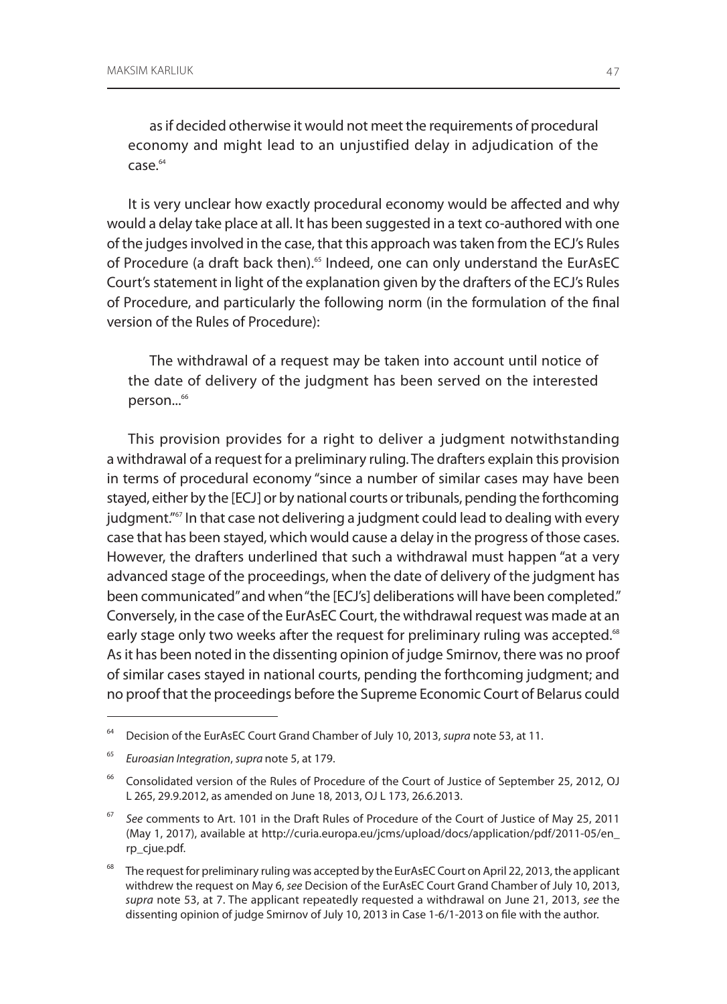as if decided otherwise it would not meet the requirements of procedural economy and might lead to an unjustified delay in adjudication of the case.64

It is very unclear how exactly procedural economy would be affected and why would a delay take place at all. It has been suggested in a text co-authored with one of the judges involved in the case, that this approach was taken from the ECJ's Rules of Procedure (a draft back then).<sup>65</sup> Indeed, one can only understand the EurAsEC Court's statement in light of the explanation given by the drafters of the ECJ's Rules of Procedure, and particularly the following norm (in the formulation of the final version of the Rules of Procedure):

The withdrawal of a request may be taken into account until notice of the date of delivery of the judgment has been served on the interested person...<sup>66</sup>

This provision provides for a right to deliver a judgment notwithstanding a withdrawal of a request for a preliminary ruling. The drafters explain this provision in terms of procedural economy "since a number of similar cases may have been stayed, either by the [ECJ] or by national courts or tribunals, pending the forthcoming judgment."<sup>67</sup> In that case not delivering a judgment could lead to dealing with every case that has been stayed, which would cause a delay in the progress of those cases. However, the drafters underlined that such a withdrawal must happen "at a very advanced stage of the proceedings, when the date of delivery of the judgment has been communicated" and when "the [ECJ's] deliberations will have been completed." Conversely, in the case of the EurAsEC Court, the withdrawal request was made at an early stage only two weeks after the request for preliminary ruling was accepted.<sup>68</sup> As it has been noted in the dissenting opinion of judge Smirnov, there was no proof of similar cases stayed in national courts, pending the forthcoming judgment; and no proof that the proceedings before the Supreme Economic Court of Belarus could

<sup>64</sup> Decision of the EurAsEC Court Grand Chamber of July 10, 2013, *supra* note 53, at 11.

<sup>65</sup> *Euroasian Integration*, *supra* note 5, at 179.

<sup>&</sup>lt;sup>66</sup> Consolidated version of the Rules of Procedure of the Court of Justice of September 25, 2012, OJ L 265, 29.9.2012, as amended on June 18, 2013, OJ L 173, 26.6.2013.

<sup>67</sup> *See* comments to Art. 101 in the Draft Rules of Procedure of the Court of Justice of May 25, 2011 (May 1, 2017), available at http://curia.europa.eu/jcms/upload/docs/application/pdf/2011-05/en\_ rp\_cjue.pdf.

<sup>&</sup>lt;sup>68</sup> The request for preliminary ruling was accepted by the EurAsEC Court on April 22, 2013, the applicant withdrew the request on May 6, *see* Decision of the EurAsEC Court Grand Chamber of July 10, 2013, *supra* note 53, at 7. The applicant repeatedly requested a withdrawal on June 21, 2013, *see* the dissenting opinion of judge Smirnov of July 10, 2013 in Case 1-6/1-2013 on file with the author.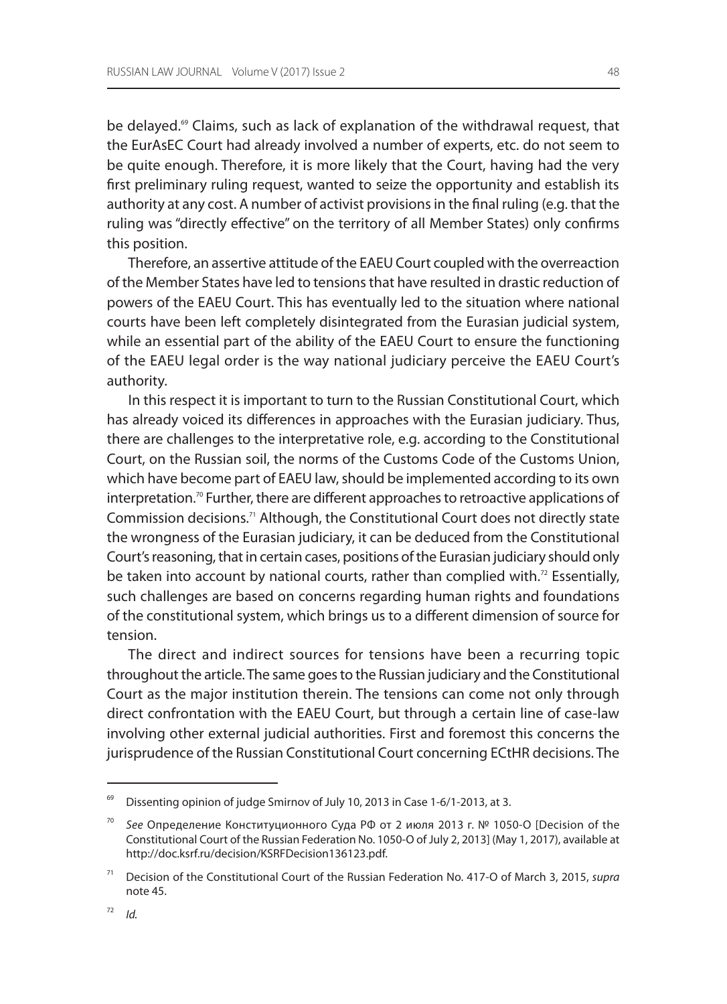be delayed.<sup>69</sup> Claims, such as lack of explanation of the withdrawal request, that the EurAsEC Court had already involved a number of experts, etc. do not seem to be quite enough. Therefore, it is more likely that the Court, having had the very first preliminary ruling request, wanted to seize the opportunity and establish its authority at any cost. A number of activist provisions in the final ruling (e.g. that the ruling was "directly effective" on the territory of all Member States) only confirms this position.

Therefore, an assertive attitude of the EAEU Court coupled with the overreaction of the Member States have led to tensions that have resulted in drastic reduction of powers of the EAEU Court. This has eventually led to the situation where national courts have been left completely disintegrated from the Eurasian judicial system, while an essential part of the ability of the EAEU Court to ensure the functioning of the EAEU legal order is the way national judiciary perceive the EAEU Court's authority.

In this respect it is important to turn to the Russian Constitutional Court, which has already voiced its differences in approaches with the Eurasian judiciary. Thus, there are challenges to the interpretative role, e.g. according to the Constitutional Court, on the Russian soil, the norms of the Customs Code of the Customs Union, which have become part of EAEU law, should be implemented according to its own interpretation.<sup>70</sup> Further, there are different approaches to retroactive applications of Commission decisions.71 Although, the Constitutional Court does not directly state the wrongness of the Eurasian judiciary, it can be deduced from the Constitutional Court's reasoning, that in certain cases, positions of the Eurasian judiciary should only be taken into account by national courts, rather than complied with.<sup>72</sup> Essentially, such challenges are based on concerns regarding human rights and foundations of the constitutional system, which brings us to a different dimension of source for tension.

The direct and indirect sources for tensions have been a recurring topic throughout the article. The same goes to the Russian judiciary and the Constitutional Court as the major institution therein. The tensions can come not only through direct confrontation with the EAEU Court, but through a certain line of case-law involving other external judicial authorities. First and foremost this concerns the jurisprudence of the Russian Constitutional Court concerning ECtHR decisions. The

Dissenting opinion of judge Smirnov of July 10, 2013 in Case 1-6/1-2013, at 3.

<sup>70</sup> *See* Определение Конституционного Суда РФ от 2 июля 2013 г. № 1050-О [Decision of the Constitutional Court of the Russian Federation No. 1050-O of July 2, 2013] (May 1, 2017), available at http://doc.ksrf.ru/decision/KSRFDecision136123.pdf.

<sup>71</sup> Decision of the Constitutional Court of the Russian Federation No. 417-O of March 3, 2015, *supra* note 45.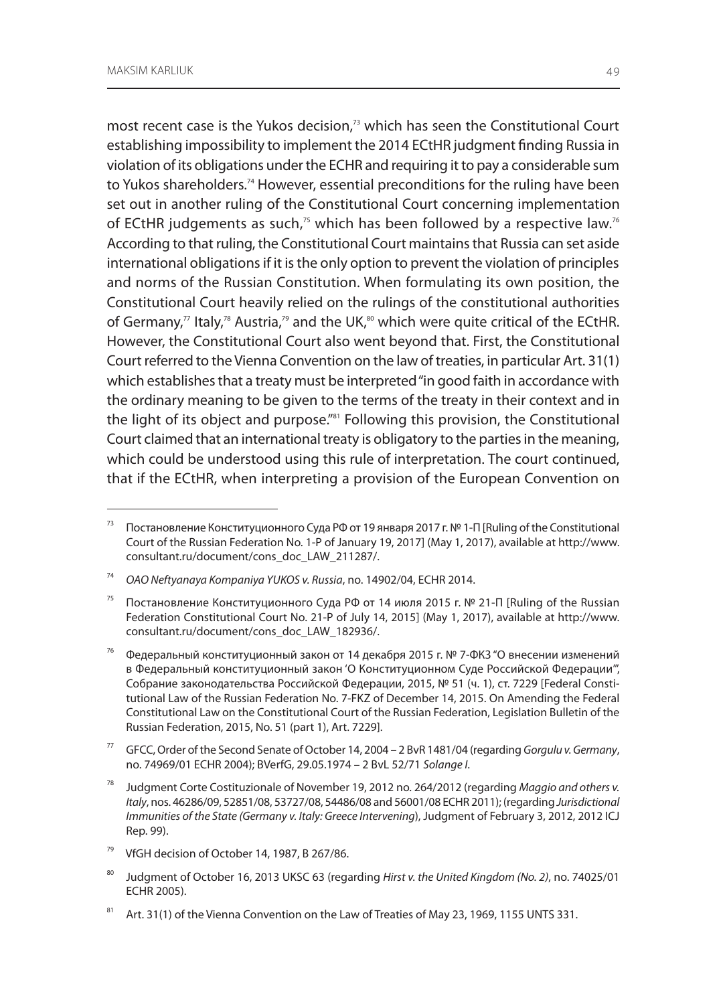most recent case is the Yukos decision,<sup>73</sup> which has seen the Constitutional Court establishing impossibility to implement the 2014 ECtHR judgment finding Russia in violation of its obligations under the ECHR and requiring it to pay a considerable sum to Yukos shareholders.<sup>74</sup> However, essential preconditions for the ruling have been set out in another ruling of the Constitutional Court concerning implementation of ECtHR judgements as such, $75$  which has been followed by a respective law. $76$ According to that ruling, the Constitutional Court maintains that Russia can set aside international obligations if it is the only option to prevent the violation of principles and norms of the Russian Constitution. When formulating its own position, the Constitutional Court heavily relied on the rulings of the constitutional authorities of Germany," Italy,<sup>78</sup> Austria,<sup>79</sup> and the UK,<sup>80</sup> which were quite critical of the ECtHR. However, the Constitutional Court also went beyond that. First, the Constitutional Court referred to the Vienna Convention on the law of treaties, in particular Art. 31(1) which establishes that a treaty must be interpreted "in good faith in accordance with the ordinary meaning to be given to the terms of the treaty in their context and in the light of its object and purpose."<sup>81</sup> Following this provision, the Constitutional Court claimed that an international treaty is obligatory to the parties in the meaning, which could be understood using this rule of interpretation. The court continued, that if the ECtHR, when interpreting a provision of the European Convention on

77 GFCC, Order of the Second Senate of October 14, 2004 – 2 BvR 1481/04 (regarding *Gorgulu v. Germany*, no. 74969/01 ECHR 2004); BVerfG, 29.05.1974 – 2 BvL 52/71 *Solange I*.

<sup>73</sup> Постановление Конституционного Суда РФ от 19 января 2017 г. № 1-П [Ruling of the Constitutional Court of the Russian Federation No. 1-P of January 19, 2017] (May 1, 2017), available at http://www. consultant.ru/document/cons\_doc\_LAW\_211287/.

<sup>74</sup> *OAO Neftyanaya Kompaniya YUKOS v. Russia*, no. 14902/04, ECHR 2014.

<sup>&</sup>lt;sup>75</sup> Постановление Конституционного Суда РФ от 14 июля 2015 г. № 21-П [Ruling of the Russian Federation Constitutional Court No. 21-P of July 14, 2015] (May 1, 2017), available at http://www. consultant.ru/document/cons\_doc\_LAW\_182936/.

<sup>&</sup>lt;sup>76</sup> Федеральный конституционный закон от 14 декабря 2015 г. № 7-ФКЗ "О внесении изменений в Федеральный конституционный закон 'О Конституционном Суде Российской Федерации'", Собрание законодательства Российской Федерации, 2015, № 51 (ч. 1), ст. 7229 [Federal Constitutional Law of the Russian Federation No. 7-FKZ of December 14, 2015. On Amending the Federal Constitutional Law on the Constitutional Court of the Russian Federation, Legislation Bulletin of the Russian Federation, 2015, No. 51 (part 1), Art. 7229].

<sup>78</sup> Judgment Corte Costituzionale of November 19, 2012 no. 264/2012 (regarding *Maggio and others v. Italy*, nos. 46286/09, 52851/08, 53727/08, 54486/08 and 56001/08 ECHR 2011); (regarding *Jurisdictional Immunities of the State (Germany v. Italy: Greece Intervening*), Judgment of February 3, 2012, 2012 ICJ Rep. 99).

VfGH decision of October 14, 1987, B 267/86.

<sup>80</sup> Judgment of October 16, 2013 UKSC 63 (regarding *Hirst v. the United Kingdom (No. 2)*, no. 74025/01 ECHR 2005).

<sup>81</sup> Art. 31(1) of the Vienna Convention on the Law of Treaties of May 23, 1969, 1155 UNTS 331.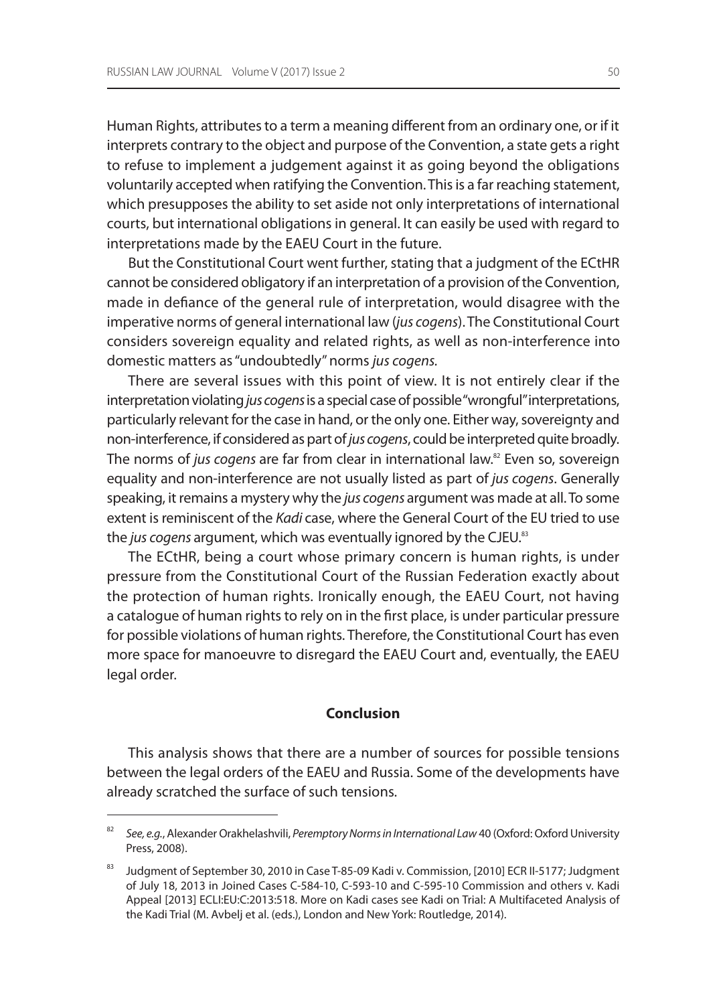Human Rights, attributes to a term a meaning different from an ordinary one, or if it interprets contrary to the object and purpose of the Convention, a state gets a right to refuse to implement a judgement against it as going beyond the obligations voluntarily accepted when ratifying the Convention. This is a far reaching statement, which presupposes the ability to set aside not only interpretations of international courts, but international obligations in general. It can easily be used with regard to interpretations made by the EAEU Court in the future.

But the Constitutional Court went further, stating that a judgment of the ECtHR cannot be considered obligatory if an interpretation of a provision of the Convention, made in defiance of the general rule of interpretation, would disagree with the imperative norms of general international law (*jus cogens*). The Constitutional Court considers sovereign equality and related rights, as well as non-interference into domestic matters as "undoubtedly" norms *jus cogens.*

There are several issues with this point of view. It is not entirely clear if the interpretation violating *jus cogens* is a special case of possible "wrongful" interpretations, particularly relevant for the case in hand, or the only one. Either way, sovereignty and non-interference, if considered as part of *jus cogens*, could be interpreted quite broadly. The norms of *jus cogens* are far from clear in international law.<sup>82</sup> Even so, sovereign equality and non-interference are not usually listed as part of *jus cogens*. Generally speaking, it remains a mystery why the *jus cogens* argument was made at all. To some extent is reminiscent of the *Kadi* case, where the General Court of the EU tried to use the *jus cogens* argument, which was eventually ignored by the CJEU. 83

The ECtHR, being a court whose primary concern is human rights, is under pressure from the Constitutional Court of the Russian Federation exactly about the protection of human rights. Ironically enough, the EAEU Court, not having a catalogue of human rights to rely on in the first place, is under particular pressure for possible violations of human rights. Therefore, the Constitutional Court has even more space for manoeuvre to disregard the EAEU Court and, eventually, the EAEU legal order.

#### **Conclusion**

This analysis shows that there are a number of sources for possible tensions between the legal orders of the EAEU and Russia. Some of the developments have already scratched the surface of such tensions.

<sup>82</sup> *See, e.g.*, Alexander Orakhelashvili, *Peremptory Norms in International Law* 40 (Oxford: Oxford University Press, 2008).

<sup>83</sup> Judgment of September 30, 2010 in Case T-85-09 Kadi v. Commission, [2010] ECR II-5177; Judgment of July 18, 2013 in Joined Cases C-584-10, C-593-10 and C-595-10 Commission and others v. Kadi Appeal [2013] ECLI:EU:C:2013:518. More on Kadi cases see Kadi on Trial: A Multifaceted Analysis of the Kadi Trial (M. Avbelj et al. (eds.), London and New York: Routledge, 2014).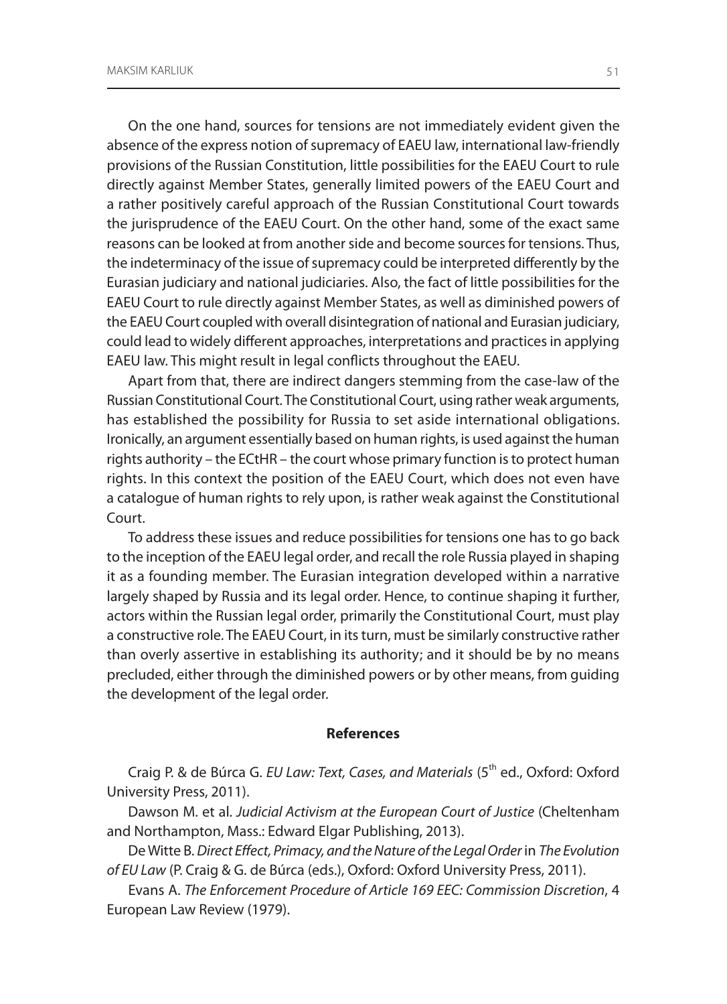On the one hand, sources for tensions are not immediately evident given the absence of the express notion of supremacy of EAEU law, international law-friendly provisions of the Russian Constitution, little possibilities for the EAEU Court to rule directly against Member States, generally limited powers of the EAEU Court and a rather positively careful approach of the Russian Constitutional Court towards the jurisprudence of the EAEU Court. On the other hand, some of the exact same reasons can be looked at from another side and become sources for tensions. Thus, the indeterminacy of the issue of supremacy could be interpreted differently by the Eurasian judiciary and national judiciaries. Also, the fact of little possibilities for the EAEU Court to rule directly against Member States, as well as diminished powers of the EAEU Court coupled with overall disintegration of national and Eurasian judiciary, could lead to widely different approaches, interpretations and practices in applying EAEU law. This might result in legal conflicts throughout the EAEU.

Apart from that, there are indirect dangers stemming from the case-law of the Russian Constitutional Court. The Constitutional Court, using rather weak arguments, has established the possibility for Russia to set aside international obligations. Ironically, an argument essentially based on human rights, is used against the human rights authority – the ECtHR – the court whose primary function is to protect human rights. In this context the position of the EAEU Court, which does not even have a catalogue of human rights to rely upon, is rather weak against the Constitutional Court.

To address these issues and reduce possibilities for tensions one has to go back to the inception of the EAEU legal order, and recall the role Russia played in shaping it as a founding member. The Eurasian integration developed within a narrative largely shaped by Russia and its legal order. Hence, to continue shaping it further, actors within the Russian legal order, primarily the Constitutional Court, must play a constructive role. The EAEU Court, in its turn, must be similarly constructive rather than overly assertive in establishing its authority; and it should be by no means precluded, either through the diminished powers or by other means, from guiding the development of the legal order.

#### **References**

Craig P. & de Búrca G. *EU Law: Text, Cases, and Materials* (5th ed., Oxford: Oxford University Press, 2011).

Dawson M. et al. *Judicial Activism at the European Court of Justice* (Cheltenham and Northampton, Mass.: Edward Elgar Publishing, 2013).

De Witte B. *Direct Effect, Primacy, and the Nature of the Legal Order* in *The Evolution of EU Law* (P. Craig & G. de Búrca (eds.), Oxford: Oxford University Press, 2011).

Evans A. *The Enforcement Procedure of Article 169 EEC: Commission Discretion*, 4 European Law Review (1979).